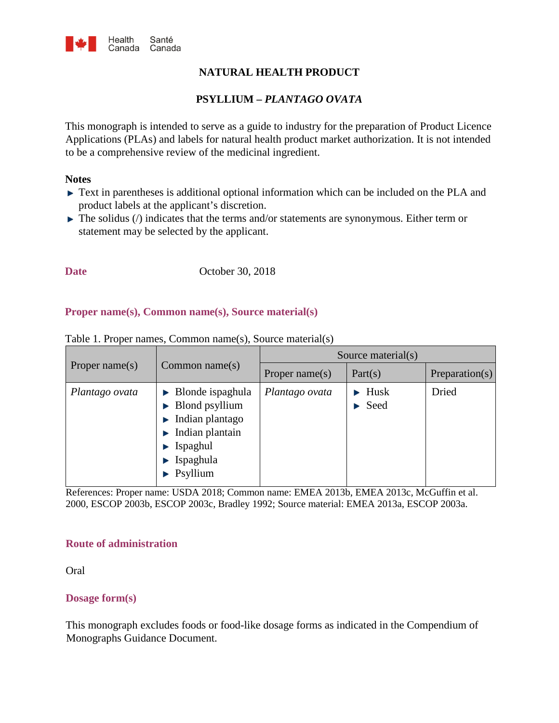

# **NATURAL HEALTH PRODUCT**

# **PSYLLIUM –** *PLANTAGO OVATA*

This monograph is intended to serve as a guide to industry for the preparation of Product Licence Applications (PLAs) and labels for natural health product market authorization. It is not intended to be a comprehensive review of the medicinal ingredient.

### **Notes**

- ► Text in parentheses is additional optional information which can be included on the PLA and product labels at the applicant's discretion.
- $\blacktriangleright$  The solidus (/) indicates that the terms and/or statements are synonymous. Either term or statement may be selected by the applicant.

### **Date October 30, 2018**

### **Proper name(s), Common name(s), Source material(s)**

| Proper name(s) |                                                                                                                                                                                                                                              | Source material(s) |                                                          |                |  |
|----------------|----------------------------------------------------------------------------------------------------------------------------------------------------------------------------------------------------------------------------------------------|--------------------|----------------------------------------------------------|----------------|--|
|                | Common name $(s)$                                                                                                                                                                                                                            | Proper name $(s)$  | Part(s)                                                  | Preparation(s) |  |
| Plantago ovata | $\triangleright$ Blonde ispaghula<br>$\blacktriangleright$ Blond psyllium<br>$\blacktriangleright$ Indian plantago<br>$\blacktriangleright$ Indian plantain<br>$\blacktriangleright$ Ispaghul<br>Ispaghula<br>$\blacktriangleright$ Psyllium | Plantago ovata     | $\blacktriangleright$ Husk<br>$\blacktriangleright$ Seed | Dried          |  |

Table 1. Proper names, Common name(s), Source material(s)

References: Proper name: USDA 2018; Common name: EMEA 2013b, EMEA 2013c, McGuffin et al. 2000, ESCOP 2003b, ESCOP 2003c, Bradley 1992; Source material: EMEA 2013a, ESCOP 2003a.

### **Route of administration**

Oral

## **Dosage form(s)**

This monograph excludes foods or food-like dosage forms as indicated in the Compendium of Monographs Guidance Document.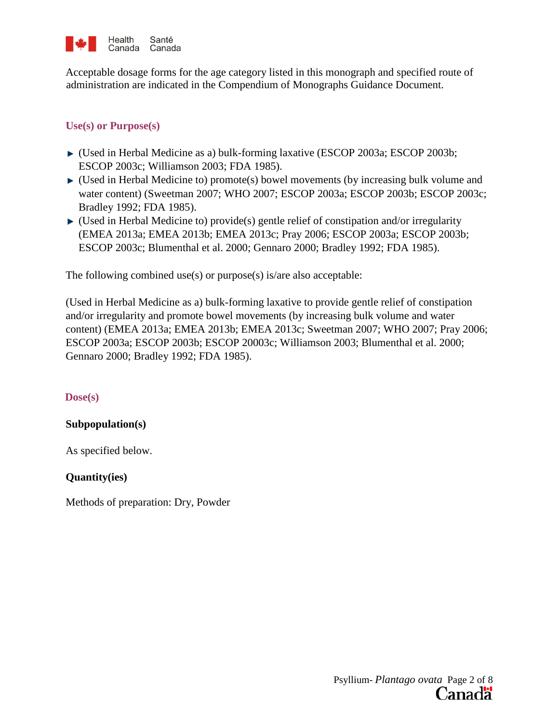

Acceptable dosage forms for the age category listed in this monograph and specified route of administration are indicated in the Compendium of Monographs Guidance Document.

# **Use(s) or Purpose(s)**

- (Used in Herbal Medicine as a) bulk-forming laxative (ESCOP 2003a; ESCOP 2003b; ESCOP 2003c; Williamson 2003; FDA 1985).
- $\triangleright$  (Used in Herbal Medicine to) promote(s) bowel movements (by increasing bulk volume and water content) (Sweetman 2007; WHO 2007; ESCOP 2003a; ESCOP 2003b; ESCOP 2003c; Bradley 1992; FDA 1985).
- $\blacktriangleright$  (Used in Herbal Medicine to) provide(s) gentle relief of constipation and/or irregularity (EMEA 2013a; EMEA 2013b; EMEA 2013c; Pray 2006; ESCOP 2003a; ESCOP 2003b; ESCOP 2003c; Blumenthal et al. 2000; Gennaro 2000; Bradley 1992; FDA 1985).

The following combined use(s) or purpose(s) is/are also acceptable:

(Used in Herbal Medicine as a) bulk-forming laxative to provide gentle relief of constipation and/or irregularity and promote bowel movements (by increasing bulk volume and water content) (EMEA 2013a; EMEA 2013b; EMEA 2013c; Sweetman 2007; WHO 2007; Pray 2006; ESCOP 2003a; ESCOP 2003b; ESCOP 20003c; Williamson 2003; Blumenthal et al. 2000; Gennaro 2000; Bradley 1992; FDA 1985).

# **Dose(s)**

# **Subpopulation(s)**

As specified below.

# **Quantity(ies)**

Methods of preparation: Dry, Powder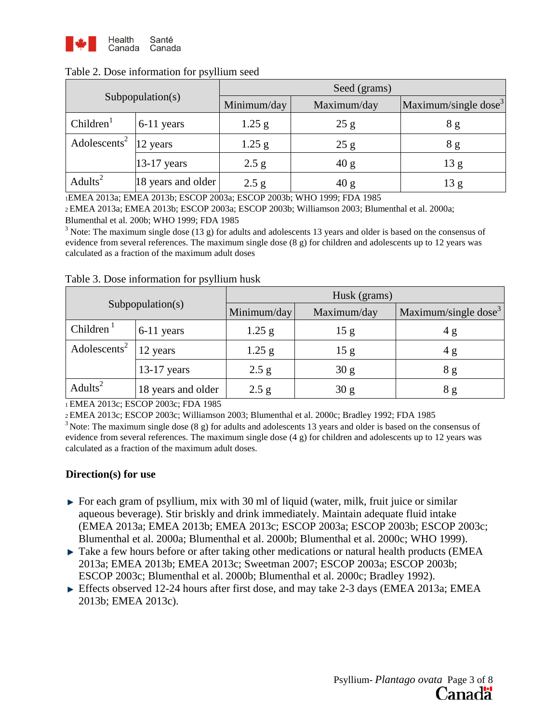

| Subpopulation(s)                              |                    | Seed (grams) |             |                                  |  |
|-----------------------------------------------|--------------------|--------------|-------------|----------------------------------|--|
|                                               |                    | Minimum/day  | Maximum/day | Maximum/single dose <sup>3</sup> |  |
| Children <sup>1</sup>                         | $6-11$ years       | $1.25$ g     | 25 g        | 8 g                              |  |
| Adolescents <sup>2</sup> $ 12 \text{ years} $ |                    | $1.25$ g     | 25 g        | 8 g                              |  |
|                                               | $13-17$ years      | 2.5 g        | 40 g        | 13 g                             |  |
| Adults <sup>2</sup>                           | 18 years and older | 2.5 g        | 40 g        | 13 g                             |  |

### Table 2. Dose information for psyllium seed

1EMEA 2013a; EMEA 2013b; ESCOP 2003a; ESCOP 2003b; WHO 1999; FDA 1985

2 EMEA 2013a; EMEA 2013b; ESCOP 2003a; ESCOP 2003b; Williamson 2003; Blumenthal et al. 2000a; Blumenthal et al. 200b; WHO 1999; FDA 1985

<sup>3</sup> Note: The maximum single dose (13 g) for adults and adolescents 13 years and older is based on the consensus of evidence from several references. The maximum single dose (8 g) for children and adolescents up to 12 years was calculated as a fraction of the maximum adult doses

| Subpopulation(s)         |                    | Husk (grams) |                 |                         |  |
|--------------------------|--------------------|--------------|-----------------|-------------------------|--|
|                          |                    | Minimum/day  | Maximum/day     | Maximum/single dose $3$ |  |
| Children <sup>1</sup>    | $6-11$ years       | $1.25$ g     | 15 g            | 4 g                     |  |
| Adolescents <sup>2</sup> | 12 years           | $1.25$ g     | 15 g            | 4g                      |  |
|                          | $13-17$ years      | 2.5 g        | 30 <sub>g</sub> | 8 g                     |  |
| Adults <sup>2</sup>      | 18 years and older | $2.5$ g      | 30 <sub>g</sub> | 8 g                     |  |

#### Table 3. Dose information for psyllium husk

1 EMEA 2013c; ESCOP 2003c; FDA 1985

<sup>2</sup> EMEA 2013c; ESCOP 2003c; Williamson 2003; Blumenthal et al. 2000c; Bradley 1992; FDA 1985<br><sup>3</sup> Note: The maximum single dose (8 g) for adults and adolescents 13 years and older is based on the consensus of evidence from several references. The maximum single dose (4 g) for children and adolescents up to 12 years was calculated as a fraction of the maximum adult doses.

#### **Direction(s) for use**

- $\triangleright$  For each gram of psyllium, mix with 30 ml of liquid (water, milk, fruit juice or similar aqueous beverage). Stir briskly and drink immediately. Maintain adequate fluid intake (EMEA 2013a; EMEA 2013b; EMEA 2013c; ESCOP 2003a; ESCOP 2003b; ESCOP 2003c; Blumenthal et al. 2000a; Blumenthal et al. 2000b; Blumenthal et al. 2000c; WHO 1999).
- $\triangleright$  Take a few hours before or after taking other medications or natural health products (EMEA 2013a; EMEA 2013b; EMEA 2013c; Sweetman 2007; ESCOP 2003a; ESCOP 2003b; ESCOP 2003c; Blumenthal et al. 2000b; Blumenthal et al. 2000c; Bradley 1992).
- Effects observed 12-24 hours after first dose, and may take 2-3 days (EMEA 2013a; EMEA 2013b; EMEA 2013c).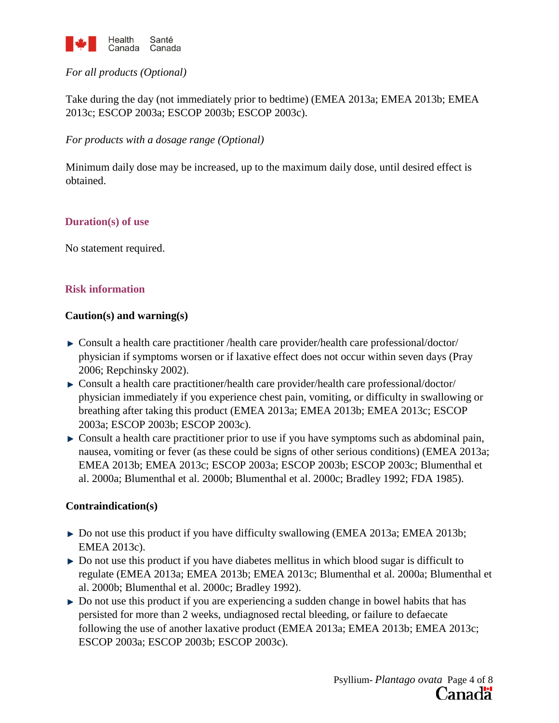

# *For all products (Optional)*

Take during the day (not immediately prior to bedtime) (EMEA 2013a; EMEA 2013b; EMEA 2013c; ESCOP 2003a; ESCOP 2003b; ESCOP 2003c).

*For products with a dosage range (Optional)*

Minimum daily dose may be increased, up to the maximum daily dose, until desired effect is obtained.

# **Duration(s) of use**

No statement required.

## **Risk information**

## **Caution(s) and warning(s)**

- Consult a health care practitioner /health care provider/health care professional/doctor/ physician if symptoms worsen or if laxative effect does not occur within seven days (Pray 2006; Repchinsky 2002).
- Consult a health care practitioner/health care provider/health care professional/doctor/ physician immediately if you experience chest pain, vomiting, or difficulty in swallowing or breathing after taking this product (EMEA 2013a; EMEA 2013b; EMEA 2013c; ESCOP 2003a; ESCOP 2003b; ESCOP 2003c).
- Consult a health care practitioner prior to use if you have symptoms such as abdominal pain, nausea, vomiting or fever (as these could be signs of other serious conditions) (EMEA 2013a; EMEA 2013b; EMEA 2013c; ESCOP 2003a; ESCOP 2003b; ESCOP 2003c; Blumenthal et al. 2000a; Blumenthal et al. 2000b; Blumenthal et al. 2000c; Bradley 1992; FDA 1985).

## **Contraindication(s)**

- $\triangleright$  Do not use this product if you have difficulty swallowing (EMEA 2013a; EMEA 2013b; EMEA 2013c).
- Do not use this product if you have diabetes mellitus in which blood sugar is difficult to regulate (EMEA 2013a; EMEA 2013b; EMEA 2013c; Blumenthal et al. 2000a; Blumenthal et al. 2000b; Blumenthal et al. 2000c; Bradley 1992).
- Do not use this product if you are experiencing a sudden change in bowel habits that has persisted for more than 2 weeks, undiagnosed rectal bleeding, or failure to defaecate following the use of another laxative product (EMEA 2013a; EMEA 2013b; EMEA 2013c; ESCOP 2003a; ESCOP 2003b; ESCOP 2003c).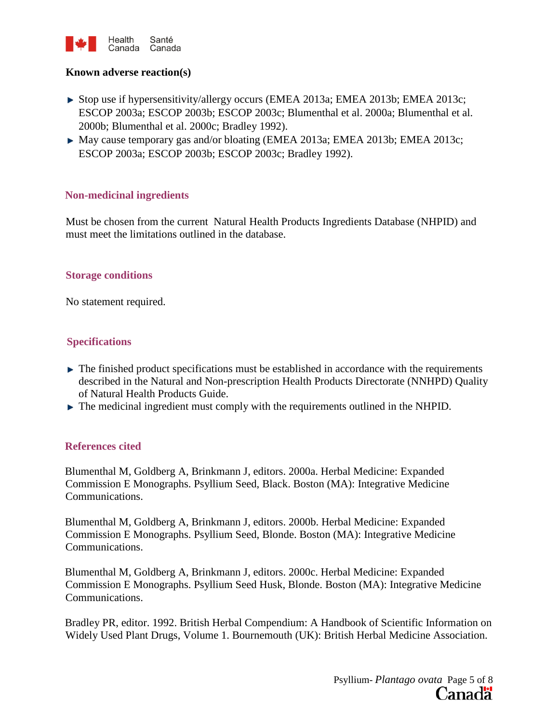

## **Known adverse reaction(s)**

- ► Stop use if hypersensitivity/allergy occurs (EMEA 2013a; EMEA 2013b; EMEA 2013c; ESCOP 2003a; ESCOP 2003b; ESCOP 2003c; Blumenthal et al. 2000a; Blumenthal et al. 2000b; Blumenthal et al. 2000c; Bradley 1992).
- May cause temporary gas and/or bloating (EMEA 2013a; EMEA 2013b; EMEA 2013c; ESCOP 2003a; ESCOP 2003b; ESCOP 2003c; Bradley 1992).

## **Non-medicinal ingredients**

Must be chosen from the current Natural Health Products Ingredients Database (NHPID) and must meet the limitations outlined in the database.

## **Storage conditions**

No statement required.

## **Specifications**

- $\blacktriangleright$  The finished product specifications must be established in accordance with the requirements described in the Natural and Non-prescription Health Products Directorate (NNHPD) Quality of Natural Health Products Guide.
- The medicinal ingredient must comply with the requirements outlined in the NHPID.

## **References cited**

Blumenthal M, Goldberg A, Brinkmann J, editors. 2000a. Herbal Medicine: Expanded Commission E Monographs. Psyllium Seed, Black. Boston (MA): Integrative Medicine Communications.

Blumenthal M, Goldberg A, Brinkmann J, editors. 2000b. Herbal Medicine: Expanded Commission E Monographs. Psyllium Seed, Blonde. Boston (MA): Integrative Medicine Communications.

Blumenthal M, Goldberg A, Brinkmann J, editors. 2000c. Herbal Medicine: Expanded Commission E Monographs. Psyllium Seed Husk, Blonde. Boston (MA): Integrative Medicine Communications.

Bradley PR, editor. 1992. British Herbal Compendium: A Handbook of Scientific Information on Widely Used Plant Drugs, Volume 1. Bournemouth (UK): British Herbal Medicine Association.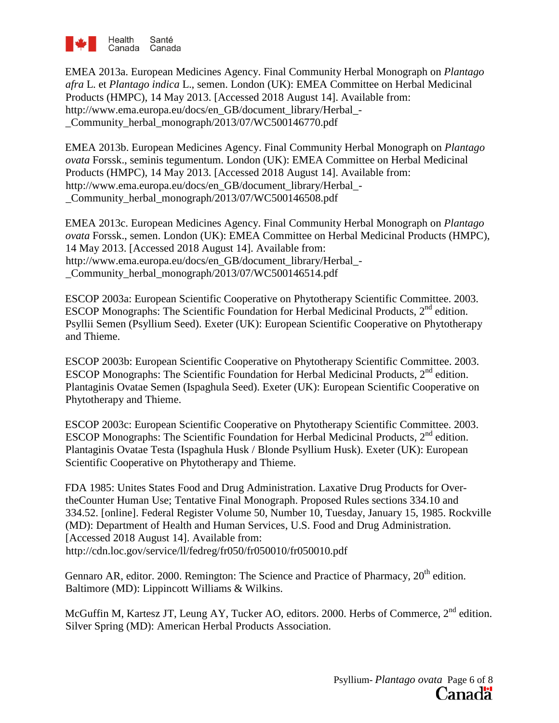

EMEA 2013a. European Medicines Agency. Final Community Herbal Monograph on *Plantago afra* L. et *Plantago indica* L., semen. London (UK): EMEA Committee on Herbal Medicinal Products (HMPC), 14 May 2013. [Accessed 2018 August 14]. Available from: http://www.ema.europa.eu/docs/en\_GB/document\_library/Herbal\_- \_Community\_herbal\_monograph/2013/07/WC500146770.pdf

EMEA 2013b. European Medicines Agency. Final Community Herbal Monograph on *Plantago ovata* Forssk., seminis tegumentum. London (UK): EMEA Committee on Herbal Medicinal Products (HMPC), 14 May 2013. [Accessed 2018 August 14]. Available from: http://www.ema.europa.eu/docs/en\_GB/document\_library/Herbal\_- \_Community\_herbal\_monograph/2013/07/WC500146508.pdf

EMEA 2013c. European Medicines Agency. Final Community Herbal Monograph on *Plantago ovata* Forssk., semen. London (UK): EMEA Committee on Herbal Medicinal Products (HMPC), 14 May 2013. [Accessed 2018 August 14]. Available from: http://www.ema.europa.eu/docs/en\_GB/document\_library/Herbal\_- \_Community\_herbal\_monograph/2013/07/WC500146514.pdf

ESCOP 2003a: European Scientific Cooperative on Phytotherapy Scientific Committee. 2003. ESCOP Monographs: The Scientific Foundation for Herbal Medicinal Products,  $2<sup>nd</sup>$  edition. Psyllii Semen (Psyllium Seed). Exeter (UK): European Scientific Cooperative on Phytotherapy and Thieme.

ESCOP 2003b: European Scientific Cooperative on Phytotherapy Scientific Committee. 2003. ESCOP Monographs: The Scientific Foundation for Herbal Medicinal Products,  $2<sup>nd</sup>$  edition. Plantaginis Ovatae Semen (Ispaghula Seed). Exeter (UK): European Scientific Cooperative on Phytotherapy and Thieme.

ESCOP 2003c: European Scientific Cooperative on Phytotherapy Scientific Committee. 2003. ESCOP Monographs: The Scientific Foundation for Herbal Medicinal Products,  $2<sup>nd</sup>$  edition. Plantaginis Ovatae Testa (Ispaghula Husk / Blonde Psyllium Husk). Exeter (UK): European Scientific Cooperative on Phytotherapy and Thieme.

FDA 1985: Unites States Food and Drug Administration. Laxative Drug Products for OvertheCounter Human Use; Tentative Final Monograph. Proposed Rules sections 334.10 and 334.52. [online]. Federal Register Volume 50, Number 10, Tuesday, January 15, 1985. Rockville (MD): Department of Health and Human Services, U.S. Food and Drug Administration. [Accessed 2018 August 14]. Available from: http://cdn.loc.gov/service/ll/fedreg/fr050/fr050010/fr050010.pdf

Gennaro AR, editor. 2000. Remington: The Science and Practice of Pharmacy, 20<sup>th</sup> edition. Baltimore (MD): Lippincott Williams & Wilkins.

McGuffin M, Kartesz JT, Leung AY, Tucker AO, editors. 2000. Herbs of Commerce, 2<sup>nd</sup> edition. Silver Spring (MD): American Herbal Products Association.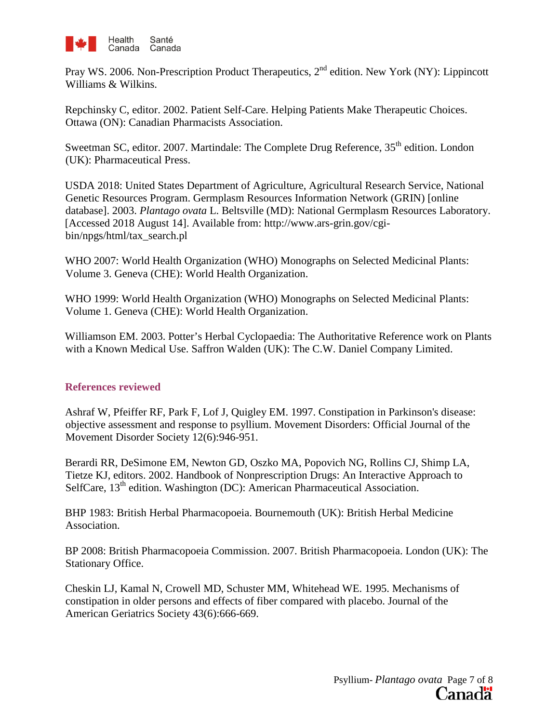

Pray WS. 2006. Non-Prescription Product Therapeutics, 2<sup>nd</sup> edition. New York (NY): Lippincott Williams & Wilkins.

Repchinsky C, editor. 2002. Patient Self-Care. Helping Patients Make Therapeutic Choices. Ottawa (ON): Canadian Pharmacists Association.

Sweetman SC, editor. 2007. Martindale: The Complete Drug Reference, 35<sup>th</sup> edition. London (UK): Pharmaceutical Press.

USDA 2018: United States Department of Agriculture, Agricultural Research Service, National Genetic Resources Program. Germplasm Resources Information Network (GRIN) [online database]. 2003. *Plantago ovata* L. Beltsville (MD): National Germplasm Resources Laboratory. [Accessed 2018 August 14]. Available from: http://www.ars-grin.gov/cgibin/npgs/html/tax\_search.pl

WHO 2007: World Health Organization (WHO) Monographs on Selected Medicinal Plants: Volume 3. Geneva (CHE): World Health Organization.

WHO 1999: World Health Organization (WHO) Monographs on Selected Medicinal Plants: Volume 1. Geneva (CHE): World Health Organization.

Williamson EM. 2003. Potter's Herbal Cyclopaedia: The Authoritative Reference work on Plants with a Known Medical Use. Saffron Walden (UK): The C.W. Daniel Company Limited.

## **References reviewed**

Ashraf W, Pfeiffer RF, Park F, Lof J, Quigley EM. 1997. Constipation in Parkinson's disease: objective assessment and response to psyllium. Movement Disorders: Official Journal of the Movement Disorder Society 12(6):946-951.

Berardi RR, DeSimone EM, Newton GD, Oszko MA, Popovich NG, Rollins CJ, Shimp LA, Tietze KJ, editors. 2002. Handbook of Nonprescription Drugs: An Interactive Approach to SelfCare, 13<sup>th</sup> edition. Washington (DC): American Pharmaceutical Association.

BHP 1983: British Herbal Pharmacopoeia. Bournemouth (UK): British Herbal Medicine Association.

BP 2008: British Pharmacopoeia Commission. 2007. British Pharmacopoeia. London (UK): The Stationary Office.

Cheskin LJ, Kamal N, Crowell MD, Schuster MM, Whitehead WE. 1995. Mechanisms of constipation in older persons and effects of fiber compared with placebo. Journal of the American Geriatrics Society 43(6):666-669.